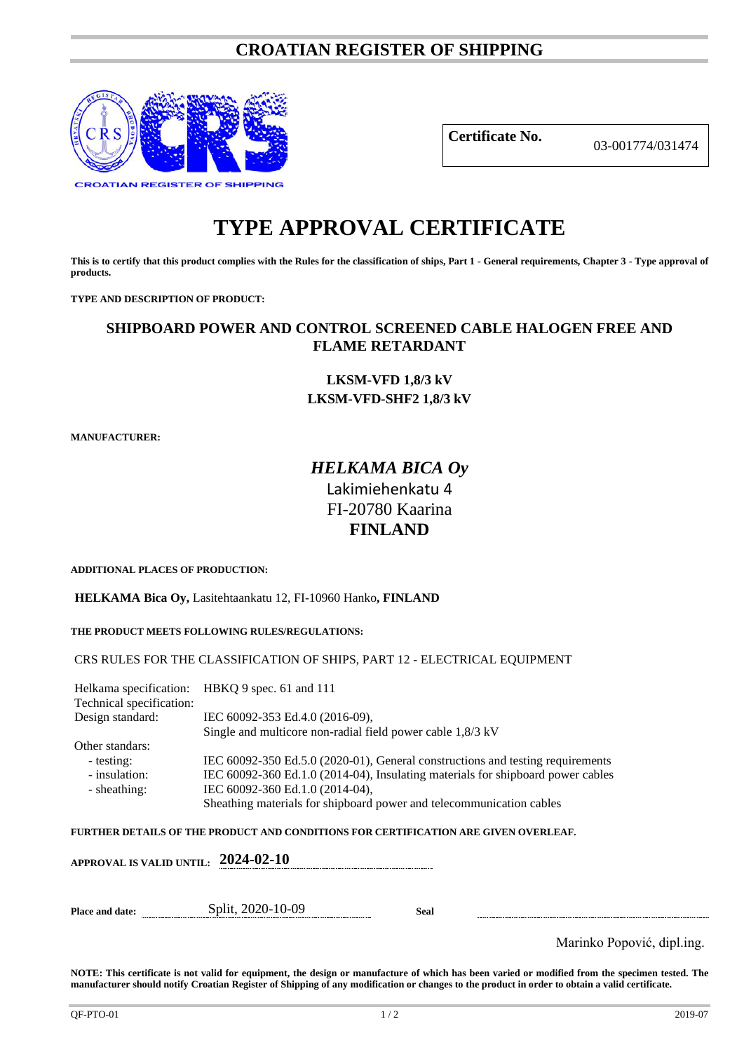## **CROATIAN REGISTER OF SHIPPING**



**Certificate No.** 03-001774/031474

# **TYPE APPROVAL CERTIFICATE**

**This is to certify that this product complies with the Rules for the classification of ships, Part 1 - General requirements, Chapter 3 - Type approval of products.**

**TYPE AND DESCRIPTION OF PRODUCT:** 

### **SHIPBOARD POWER AND CONTROL SCREENED CABLE HALOGEN FREE AND FLAME RETARDANT**

**LKSM-VFD 1,8/3 kV LKSM-VFD-SHF2 1,8/3 kV**

**MANUFACTURER:**

## *HELKAMA BICA Oy* Lakimiehenkatu 4 FI-20780 Kaarina **FINLAND**

**ADDITIONAL PLACES OF PRODUCTION:**

**HELKAMA Bica Oy,** Lasitehtaankatu 12, FI-10960 Hanko**, FINLAND**

**THE PRODUCT MEETS FOLLOWING RULES/REGULATIONS:**

CRS RULES FOR THE CLASSIFICATION OF SHIPS, PART 12 - ELECTRICAL EQUIPMENT

| Technical specification: | Helkama specification: HBKQ 9 spec. 61 and 111                                  |
|--------------------------|---------------------------------------------------------------------------------|
| Design standard:         | IEC 60092-353 Ed.4.0 (2016-09),                                                 |
|                          | Single and multicore non-radial field power cable $1,8/3$ kV                    |
| Other standars:          |                                                                                 |
| - testing:               | IEC 60092-350 Ed.5.0 (2020-01), General constructions and testing requirements  |
| - insulation:            | IEC 60092-360 Ed.1.0 (2014-04), Insulating materials for shipboard power cables |
| - sheathing:             | IEC 60092-360 Ed.1.0 (2014-04),                                                 |
|                          | Sheathing materials for shipboard power and telecommunication cables            |

**FURTHER DETAILS OF THE PRODUCT AND CONDITIONS FOR CERTIFICATION ARE GIVEN OVERLEAF.**

| APPROVAL IS VALID UNTIL: 2024-02-10 |                   |      |  |
|-------------------------------------|-------------------|------|--|
| <b>Place and date:</b>              | Split, 2020-10-09 | Seal |  |

Marinko Popović, dipl.ing.

**NOTE: This certificate is not valid for equipment, the design or manufacture of which has been varied or modified from the specimen tested. The manufacturer should notify Croatian Register of Shipping of any modification or changes to the product in order to obtain a valid certificate.**